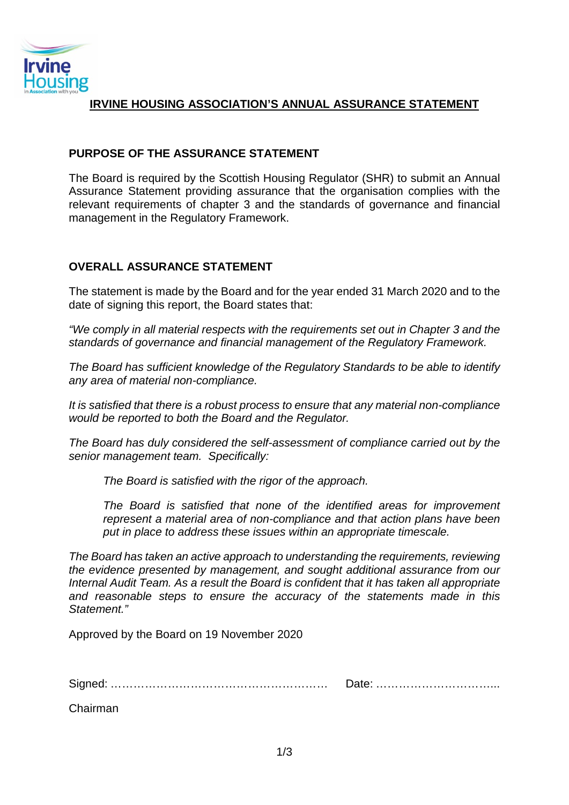

# **IRVINE HOUSING ASSOCIATION'S ANNUAL ASSURANCE STATEMENT**

## **PURPOSE OF THE ASSURANCE STATEMENT**

The Board is required by the Scottish Housing Regulator (SHR) to submit an Annual Assurance Statement providing assurance that the organisation complies with the relevant requirements of chapter 3 and the standards of governance and financial management in the Regulatory Framework.

## **OVERALL ASSURANCE STATEMENT**

The statement is made by the Board and for the year ended 31 March 2020 and to the date of signing this report, the Board states that:

*"We comply in all material respects with the requirements set out in Chapter 3 and the standards of governance and financial management of the Regulatory Framework.*

*The Board has sufficient knowledge of the Regulatory Standards to be able to identify any area of material non-compliance.* 

*It is satisfied that there is a robust process to ensure that any material non-compliance would be reported to both the Board and the Regulator.* 

*The Board has duly considered the self-assessment of compliance carried out by the senior management team. Specifically:*

*The Board is satisfied with the rigor of the approach.*

*The Board is satisfied that none of the identified areas for improvement represent a material area of non-compliance and that action plans have been put in place to address these issues within an appropriate timescale.*

*The Board has taken an active approach to understanding the requirements, reviewing the evidence presented by management, and sought additional assurance from our Internal Audit Team. As a result the Board is confident that it has taken all appropriate and reasonable steps to ensure the accuracy of the statements made in this Statement."*

Approved by the Board on 19 November 2020

Signed: ………………………………………………… Date: …………………………...

Chairman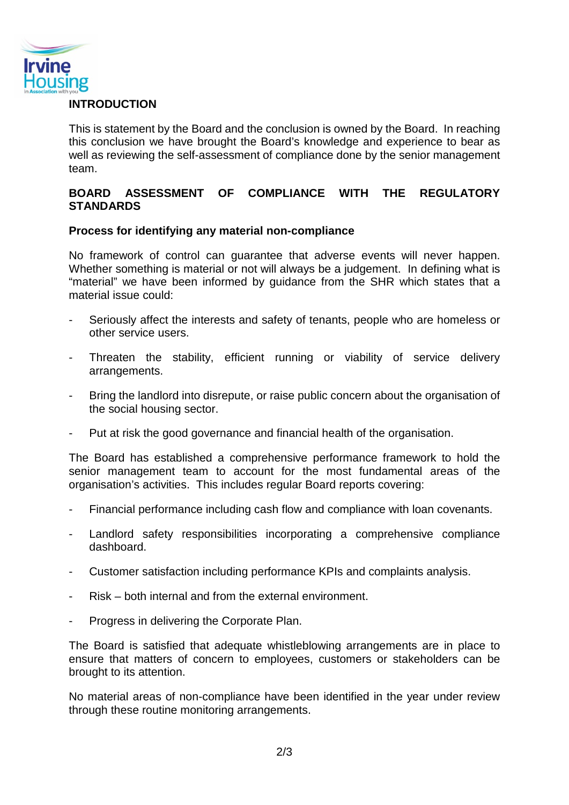

#### **INTRODUCTION**

This is statement by the Board and the conclusion is owned by the Board. In reaching this conclusion we have brought the Board's knowledge and experience to bear as well as reviewing the self-assessment of compliance done by the senior management team.

#### **BOARD ASSESSMENT OF COMPLIANCE WITH THE REGULATORY STANDARDS**

#### **Process for identifying any material non-compliance**

No framework of control can guarantee that adverse events will never happen. Whether something is material or not will always be a judgement. In defining what is "material" we have been informed by guidance from the SHR which states that a material issue could:

- Seriously affect the interests and safety of tenants, people who are homeless or other service users.
- Threaten the stability, efficient running or viability of service delivery arrangements.
- Bring the landlord into disrepute, or raise public concern about the organisation of the social housing sector.
- Put at risk the good governance and financial health of the organisation.

The Board has established a comprehensive performance framework to hold the senior management team to account for the most fundamental areas of the organisation's activities. This includes regular Board reports covering:

- Financial performance including cash flow and compliance with loan covenants.
- Landlord safety responsibilities incorporating a comprehensive compliance dashboard.
- Customer satisfaction including performance KPIs and complaints analysis.
- Risk both internal and from the external environment.
- Progress in delivering the Corporate Plan.

The Board is satisfied that adequate whistleblowing arrangements are in place to ensure that matters of concern to employees, customers or stakeholders can be brought to its attention.

No material areas of non-compliance have been identified in the year under review through these routine monitoring arrangements.